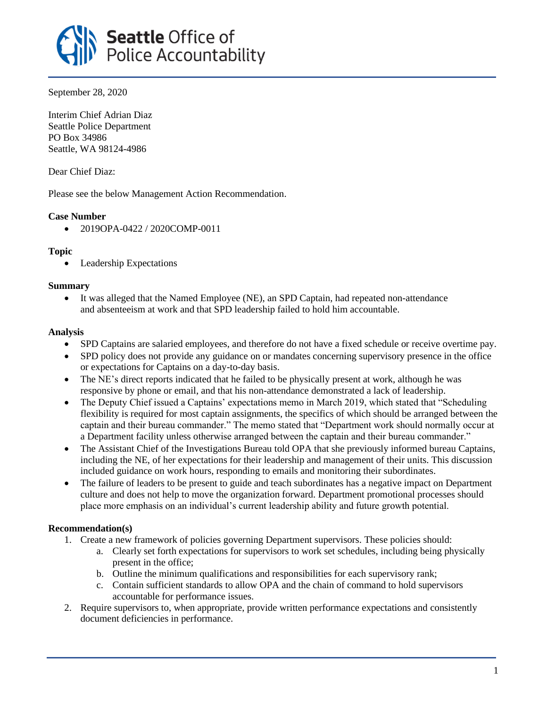

September 28, 2020

Interim Chief Adrian Diaz Seattle Police Department PO Box 34986 Seattle, WA 98124-4986

Dear Chief Diaz:

Please see the below Management Action Recommendation.

## **Case Number**

• 2019OPA-0422 / 2020COMP-0011

### **Topic**

• Leadership Expectations

### **Summary**

• It was alleged that the Named Employee (NE), an SPD Captain, had repeated non-attendance and absenteeism at work and that SPD leadership failed to hold him accountable.

### **Analysis**

- SPD Captains are salaried employees, and therefore do not have a fixed schedule or receive overtime pay.
- SPD policy does not provide any guidance on or mandates concerning supervisory presence in the office or expectations for Captains on a day-to-day basis.
- The NE's direct reports indicated that he failed to be physically present at work, although he was responsive by phone or email, and that his non-attendance demonstrated a lack of leadership.
- The Deputy Chief issued a Captains' expectations memo in March 2019, which stated that "Scheduling" flexibility is required for most captain assignments, the specifics of which should be arranged between the captain and their bureau commander." The memo stated that "Department work should normally occur at a Department facility unless otherwise arranged between the captain and their bureau commander."
- The Assistant Chief of the Investigations Bureau told OPA that she previously informed bureau Captains, including the NE, of her expectations for their leadership and management of their units. This discussion included guidance on work hours, responding to emails and monitoring their subordinates.
- The failure of leaders to be present to guide and teach subordinates has a negative impact on Department culture and does not help to move the organization forward. Department promotional processes should place more emphasis on an individual's current leadership ability and future growth potential.

# **Recommendation(s)**

- 1. Create a new framework of policies governing Department supervisors. These policies should:
	- a. Clearly set forth expectations for supervisors to work set schedules, including being physically present in the office;
	- b. Outline the minimum qualifications and responsibilities for each supervisory rank;
	- c. Contain sufficient standards to allow OPA and the chain of command to hold supervisors accountable for performance issues.
- 2. Require supervisors to, when appropriate, provide written performance expectations and consistently document deficiencies in performance.